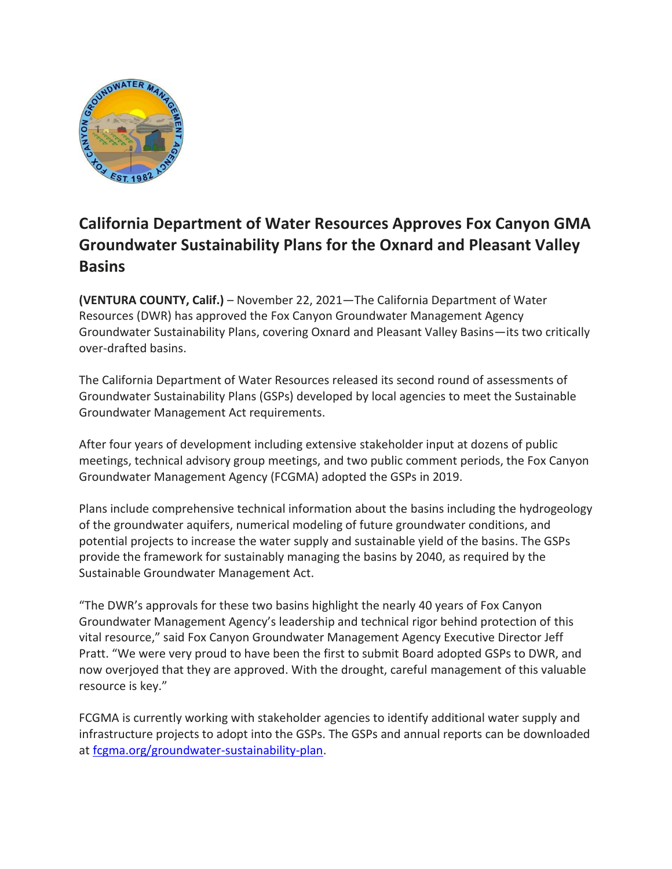

## **California Department of Water Resources Approves Fox Canyon GMA Groundwater Sustainability Plans for the Oxnard and Pleasant Valley Basins**

**(VENTURA COUNTY, Calif.)** – November 22, 2021—The California Department of Water Resources (DWR) has approved the Fox Canyon Groundwater Management Agency Groundwater Sustainability Plans, covering Oxnard and Pleasant Valley Basins—its two critically over-drafted basins.

The California Department of Water Resources released its second round of assessments of Groundwater Sustainability Plans (GSPs) developed by local agencies to meet the Sustainable Groundwater Management Act requirements.

After four years of development including extensive stakeholder input at dozens of public meetings, technical advisory group meetings, and two public comment periods, the Fox Canyon Groundwater Management Agency (FCGMA) adopted the GSPs in 2019.

Plans include comprehensive technical information about the basins including the hydrogeology of the groundwater aquifers, numerical modeling of future groundwater conditions, and potential projects to increase the water supply and sustainable yield of the basins. The GSPs provide the framework for sustainably managing the basins by 2040, as required by the Sustainable Groundwater Management Act.

"The DWR's approvals for these two basins highlight the nearly 40 years of Fox Canyon Groundwater Management Agency's leadership and technical rigor behind protection of this vital resource," said Fox Canyon Groundwater Management Agency Executive Director Jeff Pratt. "We were very proud to have been the first to submit Board adopted GSPs to DWR, and now overjoyed that they are approved. With the drought, careful management of this valuable resource is key."

FCGMA is currently working with stakeholder agencies to identify additional water supply and infrastructure projects to adopt into the GSPs. The GSPs and annual reports can be downloaded at fcgma.org/groundwater-sustainability-plan.